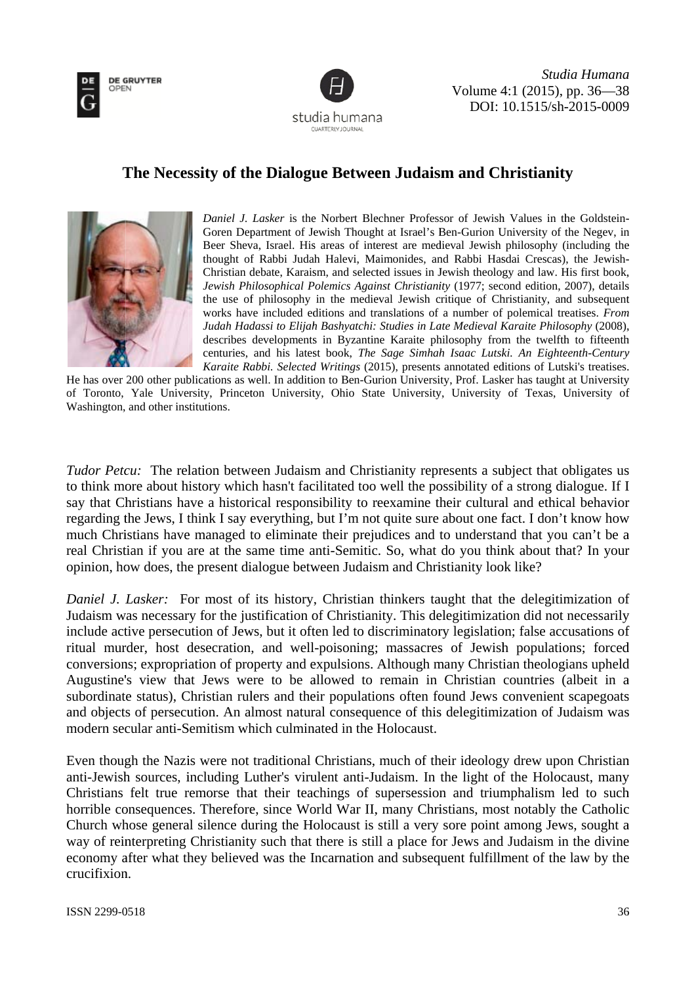



Studia Humana Volume 4:1 (2015), pp. 36–38 DOI: 10.1515/sh-2015-0009

## The Necessity of the Dialogue Between Judaism and Christianity



Daniel J. Lasker is the Norbert Blechner Professor of Jewish Values in the Goldstein-Goren Department of Jewish Thought at Israel's Ben-Gurion University of the Negev, in Beer Sheva, Israel. His areas of interest are medieval Jewish philosophy (including the thought of Rabbi Judah Halevi, Maimonides, and Rabbi Hasdai Crescas), the Jewish-Christian debate, Karaism, and selected issues in Jewish theology and law. His first book, Jewish Philosophical Polemics Against Christianity (1977; second edition, 2007), details the use of philosophy in the medieval Jewish critique of Christianity, and subsequent works have included editions and translations of a number of polemical treatises. From Judah Hadassi to Elijah Bashyatchi: Studies in Late Medieval Karaite Philosophy (2008), describes developments in Byzantine Karaite philosophy from the twelfth to fifteenth centuries, and his latest book, The Sage Simhah Isaac Lutski. An Eighteenth-Century Karaite Rabbi. Selected Writings (2015), presents annotated editions of Lutski's treatises.

He has over 200 other publications as well. In addition to Ben-Gurion University, Prof. Lasker has taught at University of Toronto, Yale University, Princeton University, Ohio State University, University of Texas, University of Washington, and other institutions.

Tudor Petcu: The relation between Judaism and Christianity represents a subject that obligates us to think more about history which hasn't facilitated too well the possibility of a strong dialogue. If I say that Christians have a historical responsibility to reexamine their cultural and ethical behavior regarding the Jews, I think I say everything, but I'm not quite sure about one fact. I don't know how much Christians have managed to eliminate their prejudices and to understand that you can't be a real Christian if you are at the same time anti-Semitic. So, what do you think about that? In your opinion, how does, the present dialogue between Judaism and Christianity look like?

Daniel J. Lasker: For most of its history, Christian thinkers taught that the delegitimization of Judaism was necessary for the justification of Christianity. This delegitimization did not necessarily include active persecution of Jews, but it often led to discriminatory legislation; false accusations of ritual murder, host desecration, and well-poisoning; massacres of Jewish populations; forced conversions; expropriation of property and expulsions. Although many Christian theologians upheld Augustine's view that Jews were to be allowed to remain in Christian countries (albeit in a subordinate status), Christian rulers and their populations often found Jews convenient scapegoats and objects of persecution. An almost natural consequence of this delegitimization of Judaism was modern secular anti-Semitism which culminated in the Holocaust.

Even though the Nazis were not traditional Christians, much of their ideology drew upon Christian anti-Jewish sources, including Luther's virulent anti-Judaism. In the light of the Holocaust, many Christians felt true remorse that their teachings of supersession and triumphalism led to such horrible consequences. Therefore, since World War II, many Christians, most notably the Catholic Church whose general silence during the Holocaust is still a very sore point among Jews, sought a way of reinterpreting Christianity such that there is still a place for Jews and Judaism in the divine economy after what they believed was the Incarnation and subsequent fulfillment of the law by the crucifixion.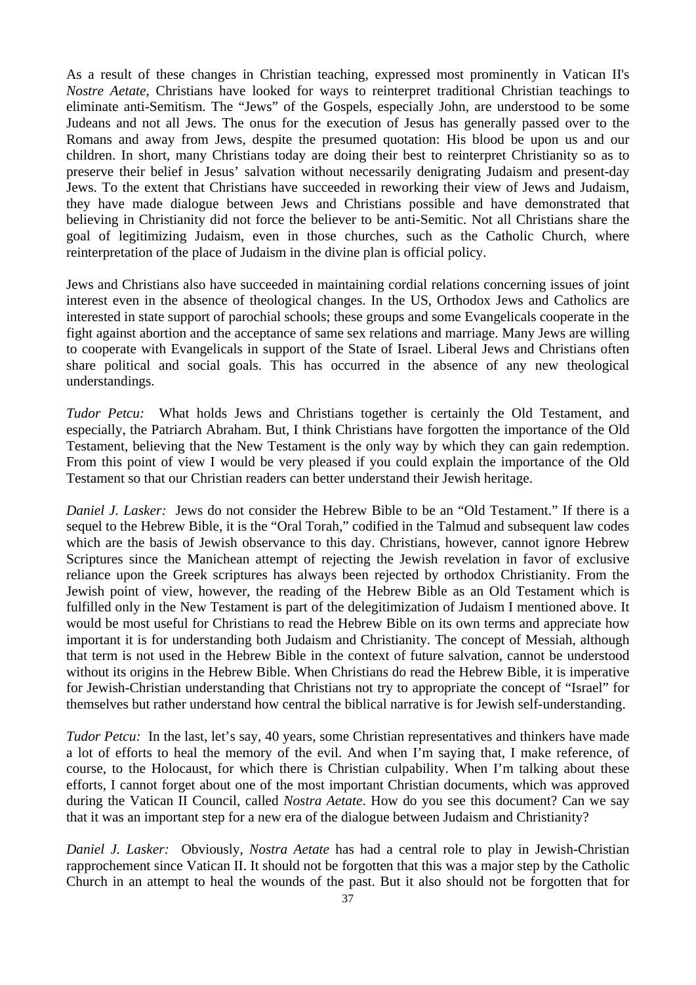As a result of these changes in Christian teaching, expressed most prominently in Vatican II's *Nostre Aetate*, Christians have looked for ways to reinterpret traditional Christian teachings to eliminate anti-Semitism. The "Jews" of the Gospels, especially John, are understood to be some Judeans and not all Jews. The onus for the execution of Jesus has generally passed over to the Romans and away from Jews, despite the presumed quotation: His blood be upon us and our children. In short, many Christians today are doing their best to reinterpret Christianity so as to preserve their belief in Jesus' salvation without necessarily denigrating Judaism and present-day Jews. To the extent that Christians have succeeded in reworking their view of Jews and Judaism, they have made dialogue between Jews and Christians possible and have demonstrated that believing in Christianity did not force the believer to be anti-Semitic. Not all Christians share the goal of legitimizing Judaism, even in those churches, such as the Catholic Church, where reinterpretation of the place of Judaism in the divine plan is official policy.

Jews and Christians also have succeeded in maintaining cordial relations concerning issues of joint interest even in the absence of theological changes. In the US, Orthodox Jews and Catholics are interested in state support of parochial schools; these groups and some Evangelicals cooperate in the fight against abortion and the acceptance of same sex relations and marriage. Many Jews are willing to cooperate with Evangelicals in support of the State of Israel. Liberal Jews and Christians often share political and social goals. This has occurred in the absence of any new theological understandings.

*Tudor Petcu:* What holds Jews and Christians together is certainly the Old Testament, and especially, the Patriarch Abraham. But, I think Christians have forgotten the importance of the Old Testament, believing that the New Testament is the only way by which they can gain redemption. From this point of view I would be very pleased if you could explain the importance of the Old Testament so that our Christian readers can better understand their Jewish heritage.

*Daniel J. Lasker:* Jews do not consider the Hebrew Bible to be an "Old Testament." If there is a sequel to the Hebrew Bible, it is the "Oral Torah," codified in the Talmud and subsequent law codes which are the basis of Jewish observance to this day. Christians, however, cannot ignore Hebrew Scriptures since the Manichean attempt of rejecting the Jewish revelation in favor of exclusive reliance upon the Greek scriptures has always been rejected by orthodox Christianity. From the Jewish point of view, however, the reading of the Hebrew Bible as an Old Testament which is fulfilled only in the New Testament is part of the delegitimization of Judaism I mentioned above. It would be most useful for Christians to read the Hebrew Bible on its own terms and appreciate how important it is for understanding both Judaism and Christianity. The concept of Messiah, although that term is not used in the Hebrew Bible in the context of future salvation, cannot be understood without its origins in the Hebrew Bible. When Christians do read the Hebrew Bible, it is imperative for Jewish-Christian understanding that Christians not try to appropriate the concept of "Israel" for themselves but rather understand how central the biblical narrative is for Jewish self-understanding.

*Tudor Petcu:* In the last, let's say, 40 years, some Christian representatives and thinkers have made a lot of efforts to heal the memory of the evil. And when I'm saying that, I make reference, of course, to the Holocaust, for which there is Christian culpability. When I'm talking about these efforts, I cannot forget about one of the most important Christian documents, which was approved during the Vatican II Council, called *Nostra Aetate*. How do you see this document? Can we say that it was an important step for a new era of the dialogue between Judaism and Christianity?

*Daniel J. Lasker:* Obviously, *Nostra Aetate* has had a central role to play in Jewish-Christian rapprochement since Vatican II. It should not be forgotten that this was a major step by the Catholic Church in an attempt to heal the wounds of the past. But it also should not be forgotten that for